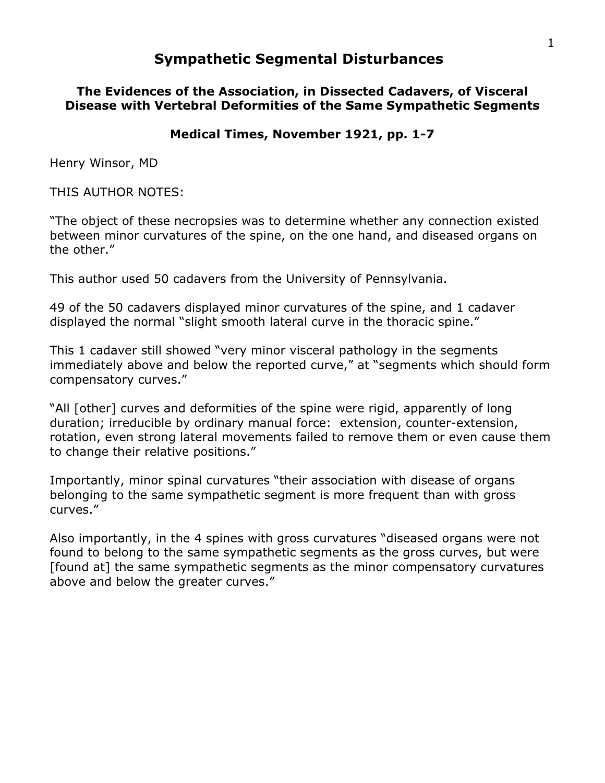# **Sympathetic Segmental Disturbances**

#### **The Evidences of the Association, in Dissected Cadavers, of Visceral Disease with Vertebral Deformities of the Same Sympathetic Segments**

#### **Medical Times, November 1921, pp. 1-7**

Henry Winsor, MD

THIS AUTHOR NOTES:

"The object of these necropsies was to determine whether any connection existed between minor curvatures of the spine, on the one hand, and diseased organs on the other."

This author used 50 cadavers from the University of Pennsylvania.

49 of the 50 cadavers displayed minor curvatures of the spine, and 1 cadaver displayed the normal "slight smooth lateral curve in the thoracic spine."

This 1 cadaver still showed "very minor visceral pathology in the segments immediately above and below the reported curve," at "segments which should form compensatory curves."

"All [other] curves and deformities of the spine were rigid, apparently of long duration; irreducible by ordinary manual force: extension, counter-extension, rotation, even strong lateral movements failed to remove them or even cause them to change their relative positions."

Importantly, minor spinal curvatures "their association with disease of organs belonging to the same sympathetic segment is more frequent than with gross curves."

Also importantly, in the 4 spines with gross curvatures "diseased organs were not found to belong to the same sympathetic segments as the gross curves, but were [found at] the same sympathetic segments as the minor compensatory curvatures above and below the greater curves."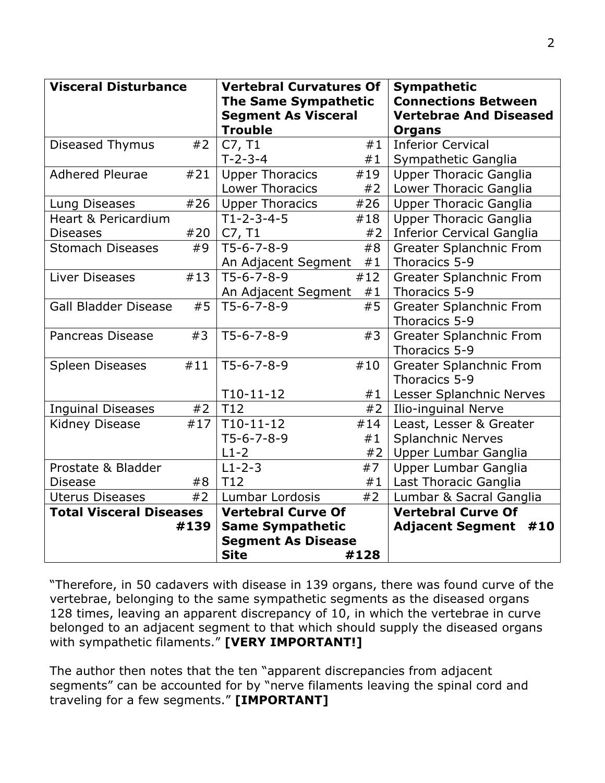| <b>Visceral Disturbance</b>    |      | <b>Vertebral Curvatures Of</b><br><b>The Same Sympathetic</b><br><b>Segment As Visceral</b><br><b>Trouble</b> |          | <b>Sympathetic</b><br><b>Connections Between</b><br><b>Vertebrae And Diseased</b><br><b>Organs</b> |
|--------------------------------|------|---------------------------------------------------------------------------------------------------------------|----------|----------------------------------------------------------------------------------------------------|
| Diseased Thymus                | #2   | C7, T1<br>$T - 2 - 3 - 4$                                                                                     | #1<br>#1 | <b>Inferior Cervical</b><br>Sympathetic Ganglia                                                    |
| <b>Adhered Pleurae</b>         | #21  | <b>Upper Thoracics</b>                                                                                        | #19      | <b>Upper Thoracic Ganglia</b>                                                                      |
|                                |      | <b>Lower Thoracics</b>                                                                                        | #2       | Lower Thoracic Ganglia                                                                             |
| Lung Diseases                  | #26  | <b>Upper Thoracics</b>                                                                                        | #26      | <b>Upper Thoracic Ganglia</b>                                                                      |
| <b>Heart &amp; Pericardium</b> |      | $T1 - 2 - 3 - 4 - 5$                                                                                          | #18      | <b>Upper Thoracic Ganglia</b>                                                                      |
| <b>Diseases</b>                | #20  | C7, T1                                                                                                        | #2       | <b>Inferior Cervical Ganglia</b>                                                                   |
| <b>Stomach Diseases</b>        | #9   | $T5-6-7-8-9$                                                                                                  | #8       | <b>Greater Splanchnic From</b>                                                                     |
|                                |      | An Adjacent Segment                                                                                           | #1       | Thoracics 5-9                                                                                      |
| Liver Diseases                 | #13  | $T5-6-7-8-9$                                                                                                  | #12      | Greater Splanchnic From                                                                            |
|                                |      | An Adjacent Segment                                                                                           | #1       | Thoracics 5-9                                                                                      |
| <b>Gall Bladder Disease</b>    | #5   | $T5-6-7-8-9$                                                                                                  | #5       | Greater Splanchnic From                                                                            |
|                                |      |                                                                                                               |          | Thoracics 5-9                                                                                      |
| <b>Pancreas Disease</b>        | #3   | $T5-6-7-8-9$                                                                                                  | #3       | <b>Greater Splanchnic From</b>                                                                     |
|                                |      |                                                                                                               |          | Thoracics 5-9                                                                                      |
| <b>Spleen Diseases</b>         | #11  | $T5-6-7-8-9$                                                                                                  | #10      | <b>Greater Splanchnic From</b>                                                                     |
|                                |      |                                                                                                               |          | Thoracics 5-9                                                                                      |
|                                |      | $T10-11-12$                                                                                                   | #1       | Lesser Splanchnic Nerves                                                                           |
| <b>Inguinal Diseases</b>       | #2   | T12                                                                                                           | #2       | <b>Ilio-inguinal Nerve</b>                                                                         |
| Kidney Disease                 | #17  | $T10-11-12$                                                                                                   | #14      | Least, Lesser & Greater                                                                            |
|                                |      | $T5-6-7-8-9$                                                                                                  | #1       | <b>Splanchnic Nerves</b>                                                                           |
|                                |      | $L1-2$                                                                                                        | #2       | Upper Lumbar Ganglia                                                                               |
| Prostate & Bladder             |      | $L1 - 2 - 3$                                                                                                  | #7       | Upper Lumbar Ganglia                                                                               |
| <b>Disease</b>                 | #8   | T12                                                                                                           | #1       | Last Thoracic Ganglia                                                                              |
| #2<br><b>Uterus Diseases</b>   |      | Lumbar Lordosis                                                                                               | #2       | Lumbar & Sacral Ganglia                                                                            |
| <b>Total Visceral Diseases</b> |      | <b>Vertebral Curve Of</b>                                                                                     |          | <b>Vertebral Curve Of</b>                                                                          |
|                                | #139 | <b>Same Sympathetic</b>                                                                                       |          | <b>Adjacent Segment</b><br>#10                                                                     |
|                                |      | <b>Segment As Disease</b><br><b>Site</b>                                                                      | #128     |                                                                                                    |
|                                |      |                                                                                                               |          |                                                                                                    |

"Therefore, in 50 cadavers with disease in 139 organs, there was found curve of the vertebrae, belonging to the same sympathetic segments as the diseased organs 128 times, leaving an apparent discrepancy of 10, in which the vertebrae in curve belonged to an adjacent segment to that which should supply the diseased organs with sympathetic filaments." **[VERY IMPORTANT!]**

The author then notes that the ten "apparent discrepancies from adjacent segments" can be accounted for by "nerve filaments leaving the spinal cord and traveling for a few segments." **[IMPORTANT]**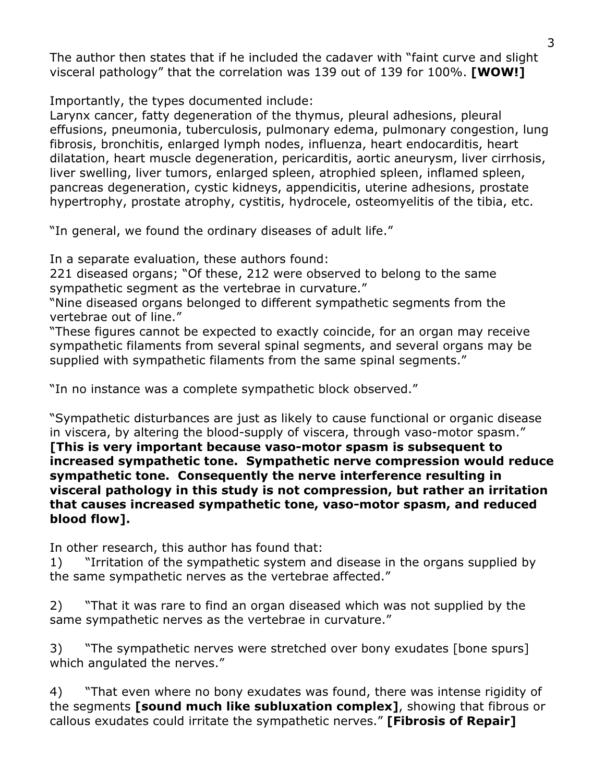The author then states that if he included the cadaver with "faint curve and slight visceral pathology" that the correlation was 139 out of 139 for 100%. **[WOW!]**

Importantly, the types documented include:

Larynx cancer, fatty degeneration of the thymus, pleural adhesions, pleural effusions, pneumonia, tuberculosis, pulmonary edema, pulmonary congestion, lung fibrosis, bronchitis, enlarged lymph nodes, influenza, heart endocarditis, heart dilatation, heart muscle degeneration, pericarditis, aortic aneurysm, liver cirrhosis, liver swelling, liver tumors, enlarged spleen, atrophied spleen, inflamed spleen, pancreas degeneration, cystic kidneys, appendicitis, uterine adhesions, prostate hypertrophy, prostate atrophy, cystitis, hydrocele, osteomyelitis of the tibia, etc.

"In general, we found the ordinary diseases of adult life."

In a separate evaluation, these authors found:

221 diseased organs; "Of these, 212 were observed to belong to the same sympathetic segment as the vertebrae in curvature."

"Nine diseased organs belonged to different sympathetic segments from the vertebrae out of line."

"These figures cannot be expected to exactly coincide, for an organ may receive sympathetic filaments from several spinal segments, and several organs may be supplied with sympathetic filaments from the same spinal segments."

"In no instance was a complete sympathetic block observed."

"Sympathetic disturbances are just as likely to cause functional or organic disease in viscera, by altering the blood-supply of viscera, through vaso-motor spasm." **[This is very important because vaso-motor spasm is subsequent to increased sympathetic tone. Sympathetic nerve compression would reduce sympathetic tone. Consequently the nerve interference resulting in visceral pathology in this study is not compression, but rather an irritation that causes increased sympathetic tone, vaso-motor spasm, and reduced blood flow].**

In other research, this author has found that:

1) "Irritation of the sympathetic system and disease in the organs supplied by the same sympathetic nerves as the vertebrae affected."

2) "That it was rare to find an organ diseased which was not supplied by the same sympathetic nerves as the vertebrae in curvature."

3) "The sympathetic nerves were stretched over bony exudates [bone spurs] which angulated the nerves."

4) "That even where no bony exudates was found, there was intense rigidity of the segments **[sound much like subluxation complex]**, showing that fibrous or callous exudates could irritate the sympathetic nerves." **[Fibrosis of Repair]**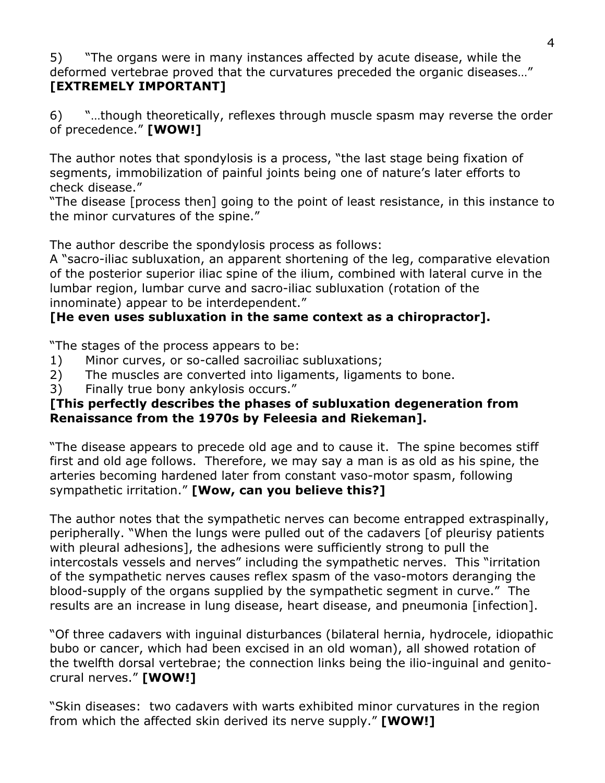5) "The organs were in many instances affected by acute disease, while the deformed vertebrae proved that the curvatures preceded the organic diseases…" **[EXTREMELY IMPORTANT]**

6) "…though theoretically, reflexes through muscle spasm may reverse the order of precedence." **[WOW!]**

The author notes that spondylosis is a process, "the last stage being fixation of segments, immobilization of painful joints being one of nature's later efforts to check disease."

"The disease [process then] going to the point of least resistance, in this instance to the minor curvatures of the spine."

The author describe the spondylosis process as follows:

A "sacro-iliac subluxation, an apparent shortening of the leg, comparative elevation of the posterior superior iliac spine of the ilium, combined with lateral curve in the lumbar region, lumbar curve and sacro-iliac subluxation (rotation of the innominate) appear to be interdependent."

## **[He even uses subluxation in the same context as a chiropractor].**

"The stages of the process appears to be:

- 1) Minor curves, or so-called sacroiliac subluxations;
- 2) The muscles are converted into ligaments, ligaments to bone.
- 3) Finally true bony ankylosis occurs."

### **[This perfectly describes the phases of subluxation degeneration from Renaissance from the 1970s by Feleesia and Riekeman].**

"The disease appears to precede old age and to cause it. The spine becomes stiff first and old age follows. Therefore, we may say a man is as old as his spine, the arteries becoming hardened later from constant vaso-motor spasm, following sympathetic irritation." **[Wow, can you believe this?]**

The author notes that the sympathetic nerves can become entrapped extraspinally, peripherally. "When the lungs were pulled out of the cadavers [of pleurisy patients with pleural adhesions], the adhesions were sufficiently strong to pull the intercostals vessels and nerves" including the sympathetic nerves. This "irritation of the sympathetic nerves causes reflex spasm of the vaso-motors deranging the blood-supply of the organs supplied by the sympathetic segment in curve." The results are an increase in lung disease, heart disease, and pneumonia [infection].

"Of three cadavers with inguinal disturbances (bilateral hernia, hydrocele, idiopathic bubo or cancer, which had been excised in an old woman), all showed rotation of the twelfth dorsal vertebrae; the connection links being the ilio-inguinal and genitocrural nerves." **[WOW!]**

"Skin diseases: two cadavers with warts exhibited minor curvatures in the region from which the affected skin derived its nerve supply." **[WOW!]**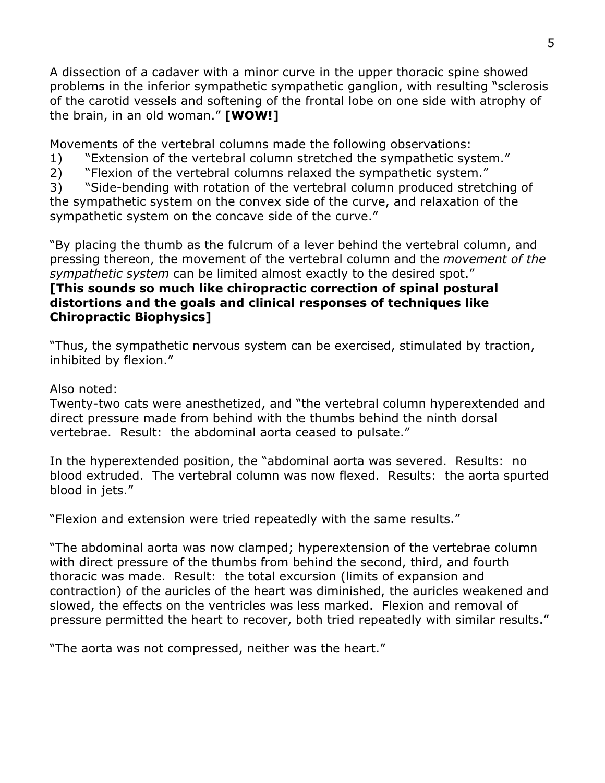A dissection of a cadaver with a minor curve in the upper thoracic spine showed problems in the inferior sympathetic sympathetic ganglion, with resulting "sclerosis of the carotid vessels and softening of the frontal lobe on one side with atrophy of the brain, in an old woman." **[WOW!]**

Movements of the vertebral columns made the following observations:

- 1) "Extension of the vertebral column stretched the sympathetic system."
- 2) "Flexion of the vertebral columns relaxed the sympathetic system."

3) "Side-bending with rotation of the vertebral column produced stretching of the sympathetic system on the convex side of the curve, and relaxation of the sympathetic system on the concave side of the curve."

"By placing the thumb as the fulcrum of a lever behind the vertebral column, and pressing thereon, the movement of the vertebral column and the *movement of the sympathetic system* can be limited almost exactly to the desired spot."

### **[This sounds so much like chiropractic correction of spinal postural distortions and the goals and clinical responses of techniques like Chiropractic Biophysics]**

"Thus, the sympathetic nervous system can be exercised, stimulated by traction, inhibited by flexion."

## Also noted:

Twenty-two cats were anesthetized, and "the vertebral column hyperextended and direct pressure made from behind with the thumbs behind the ninth dorsal vertebrae. Result: the abdominal aorta ceased to pulsate."

In the hyperextended position, the "abdominal aorta was severed. Results: no blood extruded. The vertebral column was now flexed. Results: the aorta spurted blood in jets."

"Flexion and extension were tried repeatedly with the same results."

"The abdominal aorta was now clamped; hyperextension of the vertebrae column with direct pressure of the thumbs from behind the second, third, and fourth thoracic was made. Result: the total excursion (limits of expansion and contraction) of the auricles of the heart was diminished, the auricles weakened and slowed, the effects on the ventricles was less marked. Flexion and removal of pressure permitted the heart to recover, both tried repeatedly with similar results."

"The aorta was not compressed, neither was the heart."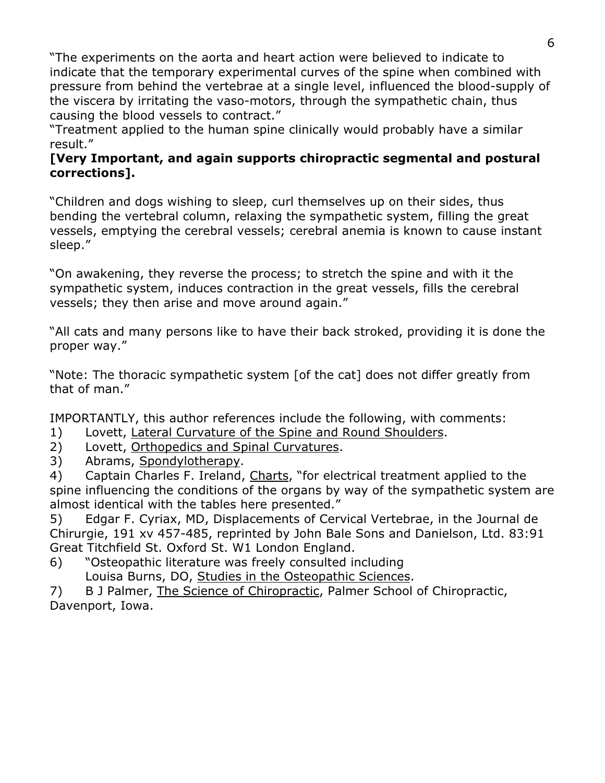"The experiments on the aorta and heart action were believed to indicate to indicate that the temporary experimental curves of the spine when combined with pressure from behind the vertebrae at a single level, influenced the blood-supply of the viscera by irritating the vaso-motors, through the sympathetic chain, thus causing the blood vessels to contract."

"Treatment applied to the human spine clinically would probably have a similar result."

### **[Very Important, and again supports chiropractic segmental and postural corrections].**

"Children and dogs wishing to sleep, curl themselves up on their sides, thus bending the vertebral column, relaxing the sympathetic system, filling the great vessels, emptying the cerebral vessels; cerebral anemia is known to cause instant sleep."

"On awakening, they reverse the process; to stretch the spine and with it the sympathetic system, induces contraction in the great vessels, fills the cerebral vessels; they then arise and move around again."

"All cats and many persons like to have their back stroked, providing it is done the proper way."

"Note: The thoracic sympathetic system [of the cat] does not differ greatly from that of man."

IMPORTANTLY, this author references include the following, with comments:

- 1) Lovett, Lateral Curvature of the Spine and Round Shoulders.
- 2) Lovett, Orthopedics and Spinal Curvatures.
- 3) Abrams, Spondylotherapy.

4) Captain Charles F. Ireland, Charts, "for electrical treatment applied to the spine influencing the conditions of the organs by way of the sympathetic system are almost identical with the tables here presented."

5) Edgar F. Cyriax, MD, Displacements of Cervical Vertebrae, in the Journal de Chirurgie, 191 xv 457-485, reprinted by John Bale Sons and Danielson, Ltd. 83:91 Great Titchfield St. Oxford St. W1 London England.

6) "Osteopathic literature was freely consulted including Louisa Burns, DO, Studies in the Osteopathic Sciences.

7) B J Palmer, The Science of Chiropractic, Palmer School of Chiropractic, Davenport, Iowa.